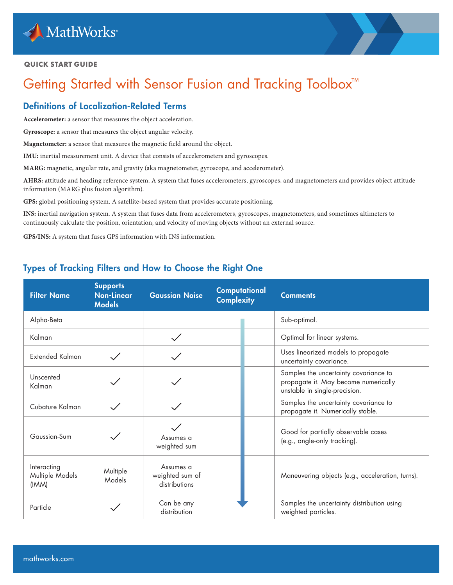

#### **QUICK START GUIDE**

# Getting Started with Sensor Fusion and Tracking Toolbox<sup>™</sup>

## Definitions of Localization-Related Terms

**Accelerometer:** a sensor that measures the object acceleration.

**Gyroscope:** a sensor that measures the object angular velocity.

**Magnetometer:** a sensor that measures the magnetic field around the object.

**IMU:** inertial measurement unit. A device that consists of accelerometers and gyroscopes.

**MARG:** magnetic, angular rate, and gravity (aka magnetometer, gyroscope, and accelerometer).

**AHRS:** attitude and heading reference system. A system that fuses accelerometers, gyroscopes, and magnetometers and provides object attitude information (MARG plus fusion algorithm).

**GPS:** global positioning system. A satellite-based system that provides accurate positioning.

**INS:** inertial navigation system. A system that fuses data from accelerometers, gyroscopes, magnetometers, and sometimes altimeters to continuously calculate the position, orientation, and velocity of moving objects without an external source.

**GPS/INS:** A system that fuses GPS information with INS information.

## Types of Tracking Filters and How to Choose the Right One

| <b>Filter Name</b>                      | <b>Supports</b><br><b>Non-Linear</b><br><b>Models</b> | <b>Gaussian Noise</b>                         | Computational<br><b>Complexity</b> | <b>Comments</b>                                                                                                |  |
|-----------------------------------------|-------------------------------------------------------|-----------------------------------------------|------------------------------------|----------------------------------------------------------------------------------------------------------------|--|
| Alpha-Beta                              |                                                       |                                               |                                    | Sub-optimal.                                                                                                   |  |
| Kalman                                  |                                                       | $\checkmark$                                  |                                    | Optimal for linear systems.                                                                                    |  |
| <b>Extended Kalman</b>                  |                                                       |                                               |                                    | Uses linearized models to propagate<br>uncertainty covariance.                                                 |  |
| Unscented<br>Kalman                     |                                                       |                                               |                                    | Samples the uncertainty covariance to<br>propagate it. May become numerically<br>unstable in single-precision. |  |
| Cubature Kalman                         |                                                       |                                               |                                    | Samples the uncertainty covariance to<br>propagate it. Numerically stable.                                     |  |
| Gaussian-Sum                            |                                                       | Assumes a<br>weighted sum                     |                                    | Good for partially observable cases<br>(e.g., angle-only tracking).                                            |  |
| Interacting<br>Multiple Models<br>(IMM) | Multiple<br>Models                                    | Assumes a<br>weighted sum of<br>distributions |                                    | Maneuvering objects (e.g., acceleration, turns).                                                               |  |
| Particle                                |                                                       | Can be any<br>distribution                    |                                    | Samples the uncertainty distribution using<br>weighted particles.                                              |  |